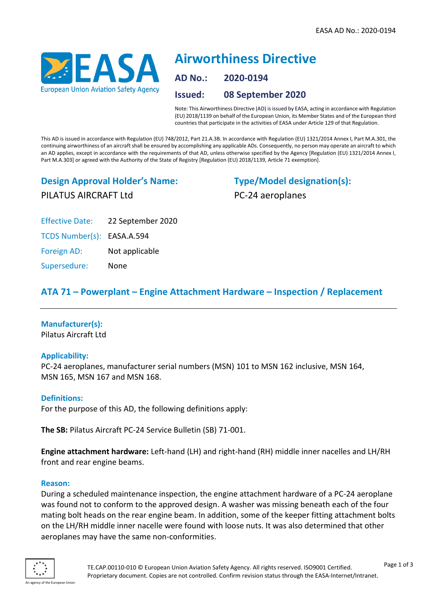

# **Airworthiness Directive AD No.: 2020-0194 Issued: 08 September 2020**

Note: This Airworthiness Directive (AD) is issued by EASA, acting in accordance with Regulation (EU) 2018/1139 on behalf of the European Union, its Member States and of the European third countries that participate in the activities of EASA under Article 129 of that Regulation.

This AD is issued in accordance with Regulation (EU) 748/2012, Part 21.A.3B. In accordance with Regulation (EU) 1321/2014 Annex I, Part M.A.301, the continuing airworthiness of an aircraft shall be ensured by accomplishing any applicable ADs. Consequently, no person may operate an aircraft to which an AD applies, except in accordance with the requirements of that AD, unless otherwise specified by the Agency [Regulation (EU) 1321/2014 Annex I, Part M.A.303] or agreed with the Authority of the State of Registry [Regulation (EU) 2018/1139, Article 71 exemption].

# **Design Approval Holder's Name:** PILATUS AIRCRAFT Ltd

**Type/Model designation(s):** PC-24 aeroplanes

Effective Date: 22 September 2020

TCDS Number(s): EASA.A.594

Foreign AD: Not applicable

Supersedure: None

# **ATA 71 – Powerplant – Engine Attachment Hardware – Inspection / Replacement**

# **Manufacturer(s):**

Pilatus Aircraft Ltd

# **Applicability:**

PC-24 aeroplanes, manufacturer serial numbers (MSN) 101 to MSN 162 inclusive, MSN 164, MSN 165, MSN 167 and MSN 168.

# **Definitions:**

For the purpose of this AD, the following definitions apply:

**The SB:** Pilatus Aircraft PC-24 Service Bulletin (SB) 71-001.

**Engine attachment hardware:** Left-hand (LH) and right-hand (RH) middle inner nacelles and LH/RH front and rear engine beams.

#### **Reason:**

During a scheduled maintenance inspection, the engine attachment hardware of a PC-24 aeroplane was found not to conform to the approved design. A washer was missing beneath each of the four mating bolt heads on the rear engine beam. In addition, some of the keeper fitting attachment bolts on the LH/RH middle inner nacelle were found with loose nuts. It was also determined that other aeroplanes may have the same non-conformities.

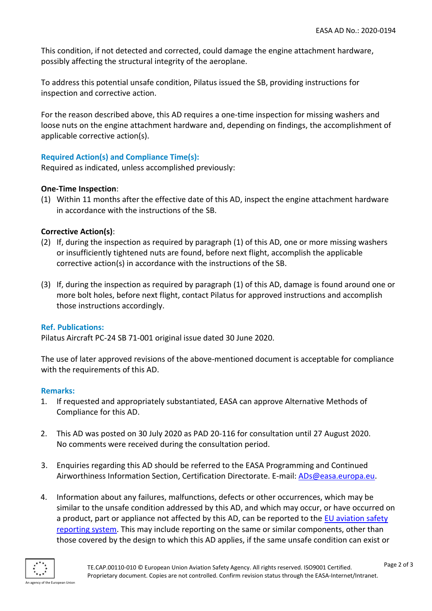This condition, if not detected and corrected, could damage the engine attachment hardware, possibly affecting the structural integrity of the aeroplane.

To address this potential unsafe condition, Pilatus issued the SB, providing instructions for inspection and corrective action.

For the reason described above, this AD requires a one-time inspection for missing washers and loose nuts on the engine attachment hardware and, depending on findings, the accomplishment of applicable corrective action(s).

# **Required Action(s) and Compliance Time(s):**

Required as indicated, unless accomplished previously:

# **One-Time Inspection**:

(1) Within 11 months after the effective date of this AD, inspect the engine attachment hardware in accordance with the instructions of the SB.

# **Corrective Action(s)**:

- (2) If, during the inspection as required by paragraph (1) of this AD, one or more missing washers or insufficiently tightened nuts are found, before next flight, accomplish the applicable corrective action(s) in accordance with the instructions of the SB.
- (3) If, during the inspection as required by paragraph (1) of this AD, damage is found around one or more bolt holes, before next flight, contact Pilatus for approved instructions and accomplish those instructions accordingly.

# **Ref. Publications:**

Pilatus Aircraft PC-24 SB 71-001 original issue dated 30 June 2020.

The use of later approved revisions of the above-mentioned document is acceptable for compliance with the requirements of this AD.

# **Remarks:**

- 1. If requested and appropriately substantiated, EASA can approve Alternative Methods of Compliance for this AD.
- 2. This AD was posted on 30 July 2020 as PAD 20-116 for consultation until 27 August 2020. No comments were received during the consultation period.
- 3. Enquiries regarding this AD should be referred to the EASA Programming and Continued Airworthiness Information Section, Certification Directorate. E-mail: [ADs@easa.europa.eu.](mailto:ADs@easa.europa.eu)
- 4. Information about any failures, malfunctions, defects or other occurrences, which may be similar to the unsafe condition addressed by this AD, and which may occur, or have occurred on a product, part or appliance not affected by this AD, can be reported to the [EU aviation safety](http://www.aviationreporting.eu/AviationReporting/)  [reporting system.](http://www.aviationreporting.eu/AviationReporting/) This may include reporting on the same or similar components, other than those covered by the design to which this AD applies, if the same unsafe condition can exist or